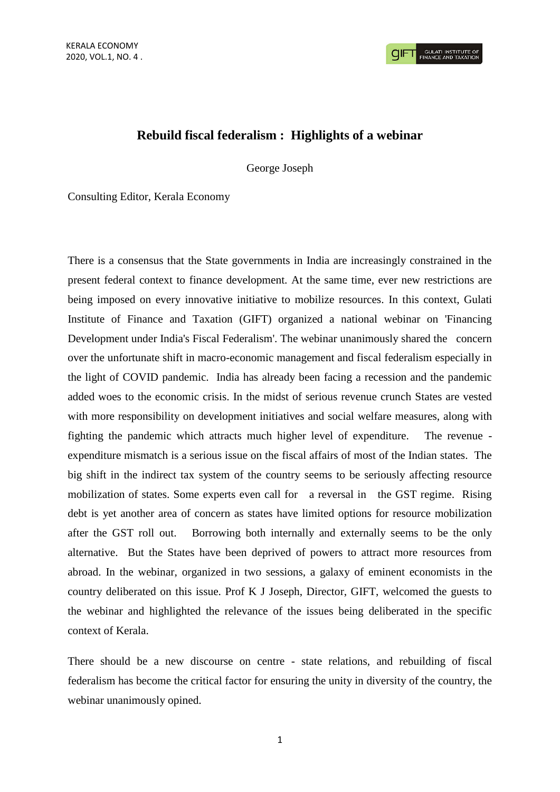# **Rebuild fiscal federalism : Highlights of a webinar**

George Joseph

Consulting Editor, Kerala Economy

There is a consensus that the State governments in India are increasingly constrained in the present federal context to finance development. At the same time, ever new restrictions are being imposed on every innovative initiative to mobilize resources. In this context, Gulati Institute of Finance and Taxation (GIFT) organized a national webinar on 'Financing Development under India's Fiscal Federalism'. The webinar unanimously shared the concern over the unfortunate shift in macro-economic management and fiscal federalism especially in the light of COVID pandemic. India has already been facing a recession and the pandemic added woes to the economic crisis. In the midst of serious revenue crunch States are vested with more responsibility on development initiatives and social welfare measures, along with fighting the pandemic which attracts much higher level of expenditure. The revenue expenditure mismatch is a serious issue on the fiscal affairs of most of the Indian states. The big shift in the indirect tax system of the country seems to be seriously affecting resource mobilization of states. Some experts even call for a reversal in the GST regime. Rising debt is yet another area of concern as states have limited options for resource mobilization after the GST roll out. Borrowing both internally and externally seems to be the only alternative. But the States have been deprived of powers to attract more resources from abroad. In the webinar, organized in two sessions, a galaxy of eminent economists in the country deliberated on this issue. Prof K J Joseph, Director, GIFT, welcomed the guests to the webinar and highlighted the relevance of the issues being deliberated in the specific context of Kerala.

There should be a new discourse on centre - state relations, and rebuilding of fiscal federalism has become the critical factor for ensuring the unity in diversity of the country, the webinar unanimously opined.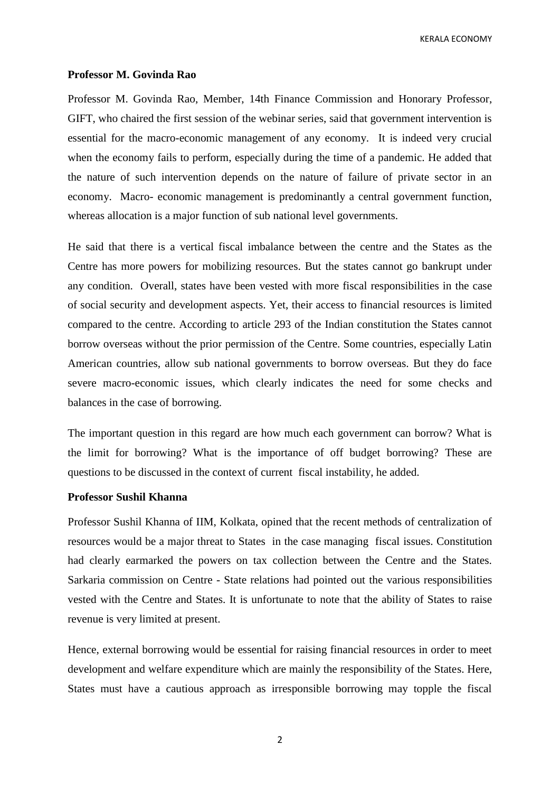#### **Professor M. Govinda Rao**

Professor M. Govinda Rao, Member, 14th Finance Commission and Honorary Professor, GIFT, who chaired the first session of the webinar series, said that government intervention is essential for the macro-economic management of any economy. It is indeed very crucial when the economy fails to perform, especially during the time of a pandemic. He added that the nature of such intervention depends on the nature of failure of private sector in an economy. Macro- economic management is predominantly a central government function, whereas allocation is a major function of sub national level governments.

He said that there is a vertical fiscal imbalance between the centre and the States as the Centre has more powers for mobilizing resources. But the states cannot go bankrupt under any condition. Overall, states have been vested with more fiscal responsibilities in the case of social security and development aspects. Yet, their access to financial resources is limited compared to the centre. According to article 293 of the Indian constitution the States cannot borrow overseas without the prior permission of the Centre. Some countries, especially Latin American countries, allow sub national governments to borrow overseas. But they do face severe macro-economic issues, which clearly indicates the need for some checks and balances in the case of borrowing.

The important question in this regard are how much each government can borrow? What is the limit for borrowing? What is the importance of off budget borrowing? These are questions to be discussed in the context of current fiscal instability, he added.

## **Professor Sushil Khanna**

Professor Sushil Khanna of IIM, Kolkata, opined that the recent methods of centralization of resources would be a major threat to States in the case managing fiscal issues. Constitution had clearly earmarked the powers on tax collection between the Centre and the States. Sarkaria commission on Centre - State relations had pointed out the various responsibilities vested with the Centre and States. It is unfortunate to note that the ability of States to raise revenue is very limited at present.

Hence, external borrowing would be essential for raising financial resources in order to meet development and welfare expenditure which are mainly the responsibility of the States. Here, States must have a cautious approach as irresponsible borrowing may topple the fiscal

2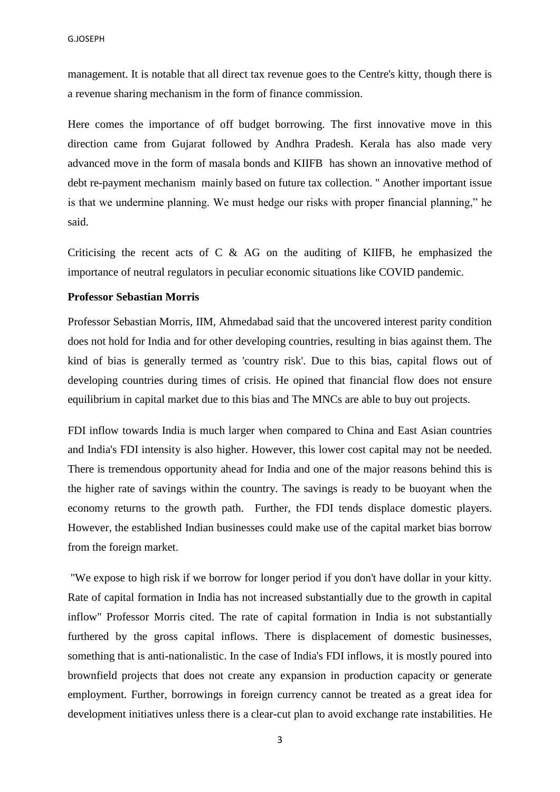management. It is notable that all direct tax revenue goes to the Centre's kitty, though there is a revenue sharing mechanism in the form of finance commission.

Here comes the importance of off budget borrowing. The first innovative move in this direction came from Gujarat followed by Andhra Pradesh. Kerala has also made very advanced move in the form of masala bonds and KIIFB has shown an innovative method of debt re-payment mechanism mainly based on future tax collection. " Another important issue is that we undermine planning. We must hedge our risks with proper financial planning," he said.

Criticising the recent acts of  $C \& A$ G on the auditing of KIIFB, he emphasized the importance of neutral regulators in peculiar economic situations like COVID pandemic.

## **Professor Sebastian Morris**

Professor Sebastian Morris, IIM, Ahmedabad said that the uncovered interest parity condition does not hold for India and for other developing countries, resulting in bias against them. The kind of bias is generally termed as 'country risk'. Due to this bias, capital flows out of developing countries during times of crisis. He opined that financial flow does not ensure equilibrium in capital market due to this bias and The MNCs are able to buy out projects.

FDI inflow towards India is much larger when compared to China and East Asian countries and India's FDI intensity is also higher. However, this lower cost capital may not be needed. There is tremendous opportunity ahead for India and one of the major reasons behind this is the higher rate of savings within the country. The savings is ready to be buoyant when the economy returns to the growth path. Further, the FDI tends displace domestic players. However, the established Indian businesses could make use of the capital market bias borrow from the foreign market.

"We expose to high risk if we borrow for longer period if you don't have dollar in your kitty. Rate of capital formation in India has not increased substantially due to the growth in capital inflow" Professor Morris cited. The rate of capital formation in India is not substantially furthered by the gross capital inflows. There is displacement of domestic businesses, something that is anti-nationalistic. In the case of India's FDI inflows, it is mostly poured into brownfield projects that does not create any expansion in production capacity or generate employment. Further, borrowings in foreign currency cannot be treated as a great idea for development initiatives unless there is a clear-cut plan to avoid exchange rate instabilities. He

3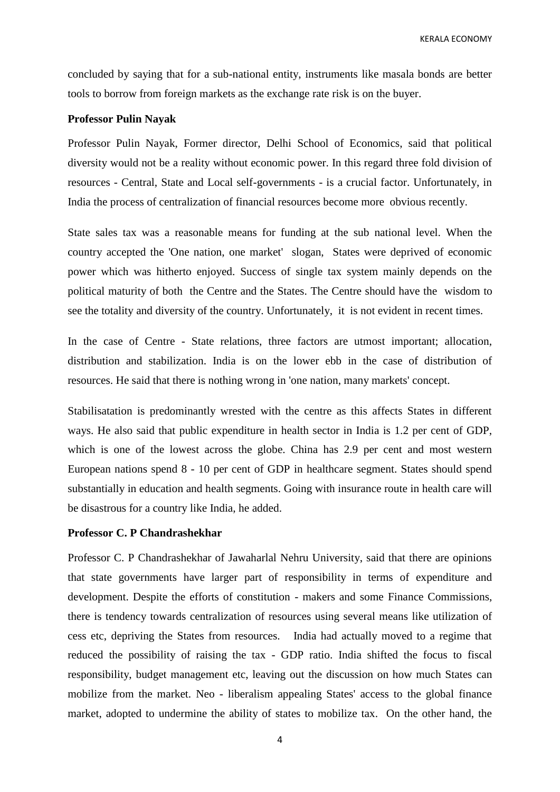concluded by saying that for a sub-national entity, instruments like masala bonds are better tools to borrow from foreign markets as the exchange rate risk is on the buyer.

## **Professor Pulin Nayak**

Professor Pulin Nayak, Former director, Delhi School of Economics, said that political diversity would not be a reality without economic power. In this regard three fold division of resources - Central, State and Local self-governments - is a crucial factor. Unfortunately, in India the process of centralization of financial resources become more obvious recently.

State sales tax was a reasonable means for funding at the sub national level. When the country accepted the 'One nation, one market' slogan, States were deprived of economic power which was hitherto enjoyed. Success of single tax system mainly depends on the political maturity of both the Centre and the States. The Centre should have the wisdom to see the totality and diversity of the country. Unfortunately, it is not evident in recent times.

In the case of Centre - State relations, three factors are utmost important; allocation, distribution and stabilization. India is on the lower ebb in the case of distribution of resources. He said that there is nothing wrong in 'one nation, many markets' concept.

Stabilisatation is predominantly wrested with the centre as this affects States in different ways. He also said that public expenditure in health sector in India is 1.2 per cent of GDP, which is one of the lowest across the globe. China has 2.9 per cent and most western European nations spend 8 - 10 per cent of GDP in healthcare segment. States should spend substantially in education and health segments. Going with insurance route in health care will be disastrous for a country like India, he added.

## **Professor C. P Chandrashekhar**

Professor C. P Chandrashekhar of Jawaharlal Nehru University, said that there are opinions that state governments have larger part of responsibility in terms of expenditure and development. Despite the efforts of constitution - makers and some Finance Commissions, there is tendency towards centralization of resources using several means like utilization of cess etc, depriving the States from resources. India had actually moved to a regime that reduced the possibility of raising the tax - GDP ratio. India shifted the focus to fiscal responsibility, budget management etc, leaving out the discussion on how much States can mobilize from the market. Neo - liberalism appealing States' access to the global finance market, adopted to undermine the ability of states to mobilize tax. On the other hand, the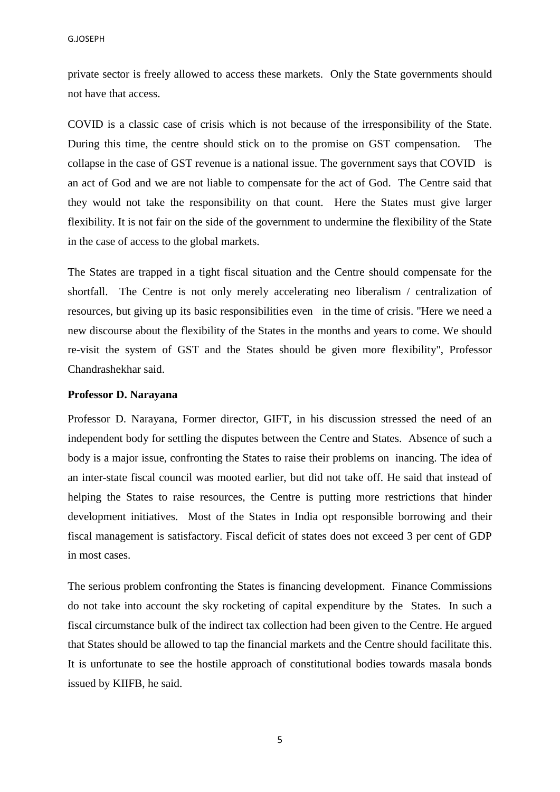private sector is freely allowed to access these markets. Only the State governments should not have that access.

COVID is a classic case of crisis which is not because of the irresponsibility of the State. During this time, the centre should stick on to the promise on GST compensation. The collapse in the case of GST revenue is a national issue. The government says that COVID is an act of God and we are not liable to compensate for the act of God. The Centre said that they would not take the responsibility on that count. Here the States must give larger flexibility. It is not fair on the side of the government to undermine the flexibility of the State in the case of access to the global markets.

The States are trapped in a tight fiscal situation and the Centre should compensate for the shortfall. The Centre is not only merely accelerating neo liberalism / centralization of resources, but giving up its basic responsibilities even in the time of crisis. "Here we need a new discourse about the flexibility of the States in the months and years to come. We should re-visit the system of GST and the States should be given more flexibility", Professor Chandrashekhar said.

## **Professor D. Narayana**

Professor D. Narayana, Former director, GIFT, in his discussion stressed the need of an independent body for settling the disputes between the Centre and States. Absence of such a body is a major issue, confronting the States to raise their problems on inancing. The idea of an inter-state fiscal council was mooted earlier, but did not take off. He said that instead of helping the States to raise resources, the Centre is putting more restrictions that hinder development initiatives. Most of the States in India opt responsible borrowing and their fiscal management is satisfactory. Fiscal deficit of states does not exceed 3 per cent of GDP in most cases.

The serious problem confronting the States is financing development. Finance Commissions do not take into account the sky rocketing of capital expenditure by the States. In such a fiscal circumstance bulk of the indirect tax collection had been given to the Centre. He argued that States should be allowed to tap the financial markets and the Centre should facilitate this. It is unfortunate to see the hostile approach of constitutional bodies towards masala bonds issued by KIIFB, he said.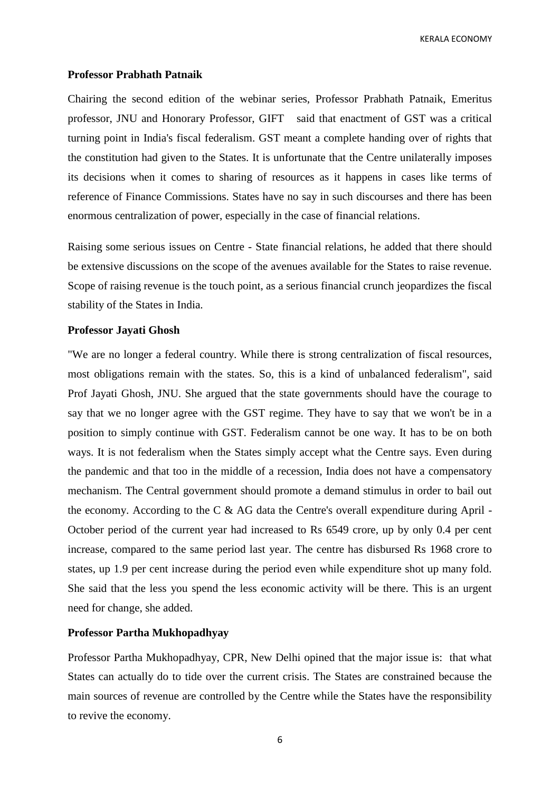#### **Professor Prabhath Patnaik**

Chairing the second edition of the webinar series, Professor Prabhath Patnaik, Emeritus professor, JNU and Honorary Professor, GIFT said that enactment of GST was a critical turning point in India's fiscal federalism. GST meant a complete handing over of rights that the constitution had given to the States. It is unfortunate that the Centre unilaterally imposes its decisions when it comes to sharing of resources as it happens in cases like terms of reference of Finance Commissions. States have no say in such discourses and there has been enormous centralization of power, especially in the case of financial relations.

Raising some serious issues on Centre - State financial relations, he added that there should be extensive discussions on the scope of the avenues available for the States to raise revenue. Scope of raising revenue is the touch point, as a serious financial crunch jeopardizes the fiscal stability of the States in India.

## **Professor Jayati Ghosh**

"We are no longer a federal country. While there is strong centralization of fiscal resources, most obligations remain with the states. So, this is a kind of unbalanced federalism", said Prof Jayati Ghosh, JNU. She argued that the state governments should have the courage to say that we no longer agree with the GST regime. They have to say that we won't be in a position to simply continue with GST. Federalism cannot be one way. It has to be on both ways. It is not federalism when the States simply accept what the Centre says. Even during the pandemic and that too in the middle of a recession, India does not have a compensatory mechanism. The Central government should promote a demand stimulus in order to bail out the economy. According to the C  $\&$  AG data the Centre's overall expenditure during April -October period of the current year had increased to Rs 6549 crore, up by only 0.4 per cent increase, compared to the same period last year. The centre has disbursed Rs 1968 crore to states, up 1.9 per cent increase during the period even while expenditure shot up many fold. She said that the less you spend the less economic activity will be there. This is an urgent need for change, she added.

## **Professor Partha Mukhopadhyay**

Professor Partha Mukhopadhyay, CPR, New Delhi opined that the major issue is: that what States can actually do to tide over the current crisis. The States are constrained because the main sources of revenue are controlled by the Centre while the States have the responsibility to revive the economy.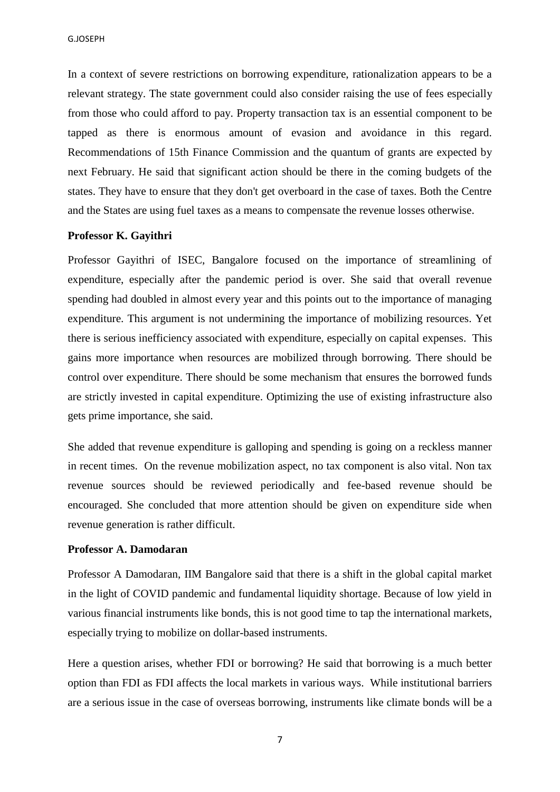In a context of severe restrictions on borrowing expenditure, rationalization appears to be a relevant strategy. The state government could also consider raising the use of fees especially from those who could afford to pay. Property transaction tax is an essential component to be tapped as there is enormous amount of evasion and avoidance in this regard. Recommendations of 15th Finance Commission and the quantum of grants are expected by next February. He said that significant action should be there in the coming budgets of the states. They have to ensure that they don't get overboard in the case of taxes. Both the Centre and the States are using fuel taxes as a means to compensate the revenue losses otherwise.

## **Professor K. Gayithri**

Professor Gayithri of ISEC, Bangalore focused on the importance of streamlining of expenditure, especially after the pandemic period is over. She said that overall revenue spending had doubled in almost every year and this points out to the importance of managing expenditure. This argument is not undermining the importance of mobilizing resources. Yet there is serious inefficiency associated with expenditure, especially on capital expenses. This gains more importance when resources are mobilized through borrowing. There should be control over expenditure. There should be some mechanism that ensures the borrowed funds are strictly invested in capital expenditure. Optimizing the use of existing infrastructure also gets prime importance, she said.

She added that revenue expenditure is galloping and spending is going on a reckless manner in recent times. On the revenue mobilization aspect, no tax component is also vital. Non tax revenue sources should be reviewed periodically and fee-based revenue should be encouraged. She concluded that more attention should be given on expenditure side when revenue generation is rather difficult.

## **Professor A. Damodaran**

Professor A Damodaran, IIM Bangalore said that there is a shift in the global capital market in the light of COVID pandemic and fundamental liquidity shortage. Because of low yield in various financial instruments like bonds, this is not good time to tap the international markets, especially trying to mobilize on dollar-based instruments.

Here a question arises, whether FDI or borrowing? He said that borrowing is a much better option than FDI as FDI affects the local markets in various ways. While institutional barriers are a serious issue in the case of overseas borrowing, instruments like climate bonds will be a

7